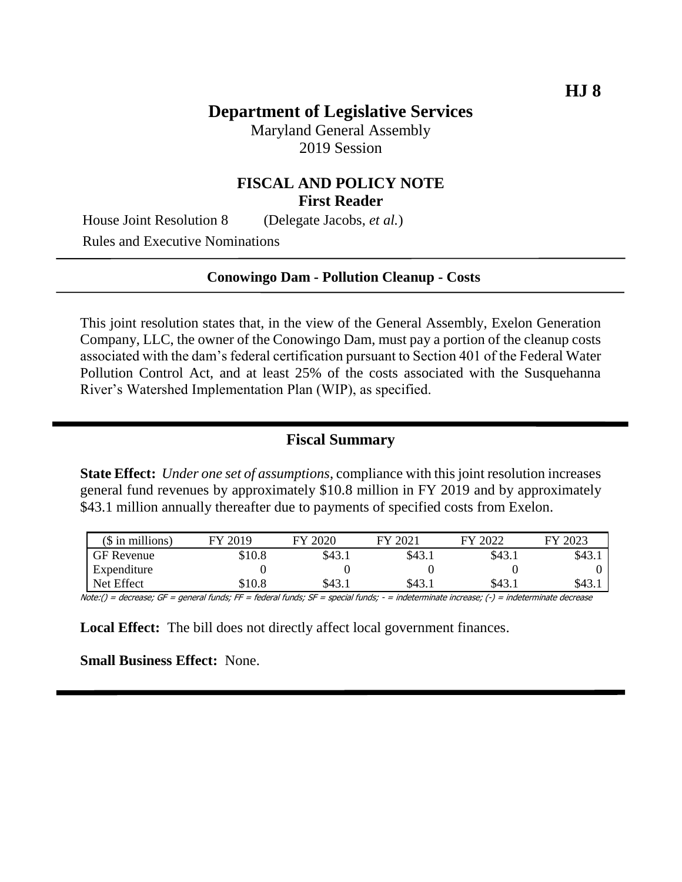## **Department of Legislative Services**

Maryland General Assembly 2019 Session

## **FISCAL AND POLICY NOTE First Reader**

House Joint Resolution 8 (Delegate Jacobs, *et al.*)

Rules and Executive Nominations

#### **Conowingo Dam - Pollution Cleanup - Costs**

This joint resolution states that, in the view of the General Assembly, Exelon Generation Company, LLC, the owner of the Conowingo Dam, must pay a portion of the cleanup costs associated with the dam's federal certification pursuant to Section 401 of the Federal Water Pollution Control Act, and at least 25% of the costs associated with the Susquehanna River's Watershed Implementation Plan (WIP), as specified.

### **Fiscal Summary**

**State Effect:** *Under one set of assumptions*, compliance with this joint resolution increases general fund revenues by approximately \$10.8 million in FY 2019 and by approximately \$43.1 million annually thereafter due to payments of specified costs from Exelon.

| $($$ in millions) | FY 2019 | FY 2020 | FY 2021 | FY 2022 | FY 2023 |
|-------------------|---------|---------|---------|---------|---------|
| GF Revenue        | \$10.8  | \$43.1  | \$43.1  | \$43.1  | \$43.1  |
| Expenditure       |         |         |         |         |         |
| Net Effect        | \$10.8  | \$43.1  | \$43.1  | \$43.1  | \$43.1  |

Note:() = decrease; GF = general funds; FF = federal funds; SF = special funds; - = indeterminate increase; (-) = indeterminate decrease

**Local Effect:** The bill does not directly affect local government finances.

**Small Business Effect:** None.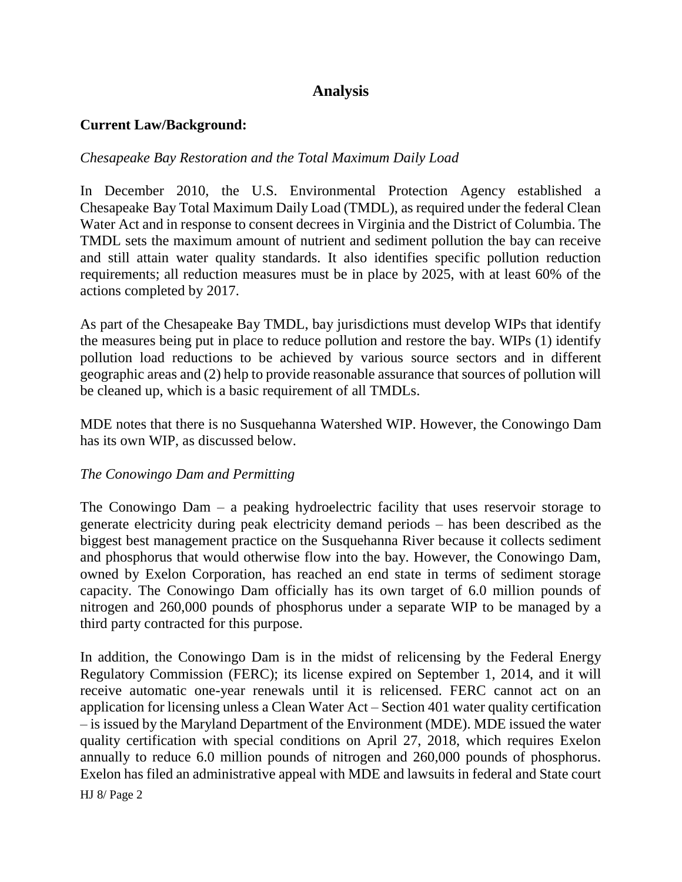# **Analysis**

## **Current Law/Background:**

## *Chesapeake Bay Restoration and the Total Maximum Daily Load*

In December 2010, the U.S. Environmental Protection Agency established a Chesapeake Bay Total Maximum Daily Load (TMDL), as required under the federal Clean Water Act and in response to consent decrees in Virginia and the District of Columbia. The TMDL sets the maximum amount of nutrient and sediment pollution the bay can receive and still attain water quality standards. It also identifies specific pollution reduction requirements; all reduction measures must be in place by 2025, with at least 60% of the actions completed by 2017.

As part of the Chesapeake Bay TMDL, bay jurisdictions must develop WIPs that identify the measures being put in place to reduce pollution and restore the bay. WIPs (1) identify pollution load reductions to be achieved by various source sectors and in different geographic areas and (2) help to provide reasonable assurance that sources of pollution will be cleaned up, which is a basic requirement of all TMDLs.

MDE notes that there is no Susquehanna Watershed WIP. However, the Conowingo Dam has its own WIP, as discussed below.

### *The Conowingo Dam and Permitting*

The Conowingo Dam – a peaking hydroelectric facility that uses reservoir storage to generate electricity during peak electricity demand periods – has been described as the biggest best management practice on the Susquehanna River because it collects sediment and phosphorus that would otherwise flow into the bay. However, the Conowingo Dam, owned by Exelon Corporation, has reached an end state in terms of sediment storage capacity. The Conowingo Dam officially has its own target of 6.0 million pounds of nitrogen and 260,000 pounds of phosphorus under a separate WIP to be managed by a third party contracted for this purpose.

In addition, the Conowingo Dam is in the midst of relicensing by the Federal Energy Regulatory Commission (FERC); its license expired on September 1, 2014, and it will receive automatic one-year renewals until it is relicensed. FERC cannot act on an application for licensing unless a Clean Water Act – Section 401 water quality certification – is issued by the Maryland Department of the Environment (MDE). MDE issued the water quality certification with special conditions on April 27, 2018, which requires Exelon annually to reduce 6.0 million pounds of nitrogen and 260,000 pounds of phosphorus. Exelon has filed an administrative appeal with MDE and lawsuits in federal and State court

HJ 8/ Page 2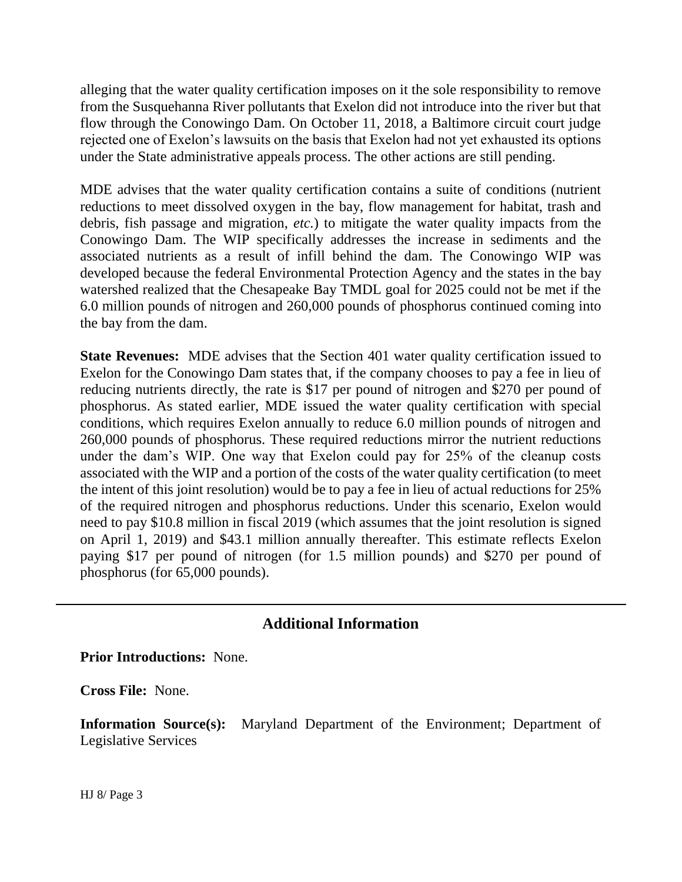alleging that the water quality certification imposes on it the sole responsibility to remove from the Susquehanna River pollutants that Exelon did not introduce into the river but that flow through the Conowingo Dam. On October 11, 2018, a Baltimore circuit court judge rejected one of Exelon's lawsuits on the basis that Exelon had not yet exhausted its options under the State administrative appeals process. The other actions are still pending.

MDE advises that the water quality certification contains a suite of conditions (nutrient reductions to meet dissolved oxygen in the bay, flow management for habitat, trash and debris, fish passage and migration, *etc.*) to mitigate the water quality impacts from the Conowingo Dam. The WIP specifically addresses the increase in sediments and the associated nutrients as a result of infill behind the dam. The Conowingo WIP was developed because the federal Environmental Protection Agency and the states in the bay watershed realized that the Chesapeake Bay TMDL goal for 2025 could not be met if the 6.0 million pounds of nitrogen and 260,000 pounds of phosphorus continued coming into the bay from the dam.

**State Revenues:** MDE advises that the Section 401 water quality certification issued to Exelon for the Conowingo Dam states that, if the company chooses to pay a fee in lieu of reducing nutrients directly, the rate is \$17 per pound of nitrogen and \$270 per pound of phosphorus. As stated earlier, MDE issued the water quality certification with special conditions, which requires Exelon annually to reduce 6.0 million pounds of nitrogen and 260,000 pounds of phosphorus. These required reductions mirror the nutrient reductions under the dam's WIP. One way that Exelon could pay for 25% of the cleanup costs associated with the WIP and a portion of the costs of the water quality certification (to meet the intent of this joint resolution) would be to pay a fee in lieu of actual reductions for 25% of the required nitrogen and phosphorus reductions. Under this scenario, Exelon would need to pay \$10.8 million in fiscal 2019 (which assumes that the joint resolution is signed on April 1, 2019) and \$43.1 million annually thereafter. This estimate reflects Exelon paying \$17 per pound of nitrogen (for 1.5 million pounds) and \$270 per pound of phosphorus (for 65,000 pounds).

# **Additional Information**

**Prior Introductions:** None.

**Cross File:** None.

**Information Source(s):** Maryland Department of the Environment; Department of Legislative Services